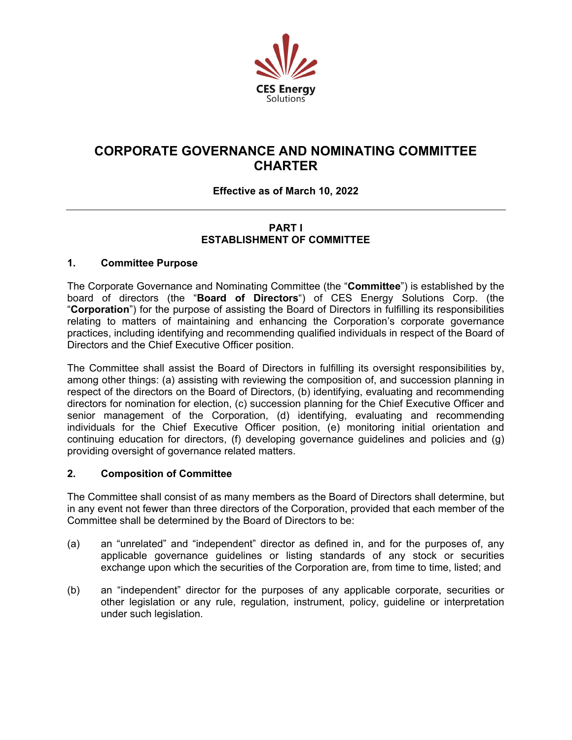

# **CORPORATE GOVERNANCE AND NOMINATING COMMITTEE CHARTER**

# **Effective as of March 10, 2022**

## **PART I ESTABLISHMENT OF COMMITTEE**

## **1. Committee Purpose**

The Corporate Governance and Nominating Committee (the "**Committee**") is established by the board of directors (the "**Board of Directors**") of CES Energy Solutions Corp. (the "**Corporation**") for the purpose of assisting the Board of Directors in fulfilling its responsibilities relating to matters of maintaining and enhancing the Corporation's corporate governance practices, including identifying and recommending qualified individuals in respect of the Board of Directors and the Chief Executive Officer position.

The Committee shall assist the Board of Directors in fulfilling its oversight responsibilities by, among other things: (a) assisting with reviewing the composition of, and succession planning in respect of the directors on the Board of Directors, (b) identifying, evaluating and recommending directors for nomination for election, (c) succession planning for the Chief Executive Officer and senior management of the Corporation, (d) identifying, evaluating and recommending individuals for the Chief Executive Officer position, (e) monitoring initial orientation and continuing education for directors, (f) developing governance guidelines and policies and (g) providing oversight of governance related matters.

## **2. Composition of Committee**

The Committee shall consist of as many members as the Board of Directors shall determine, but in any event not fewer than three directors of the Corporation, provided that each member of the Committee shall be determined by the Board of Directors to be:

- (a) an "unrelated" and "independent" director as defined in, and for the purposes of, any applicable governance guidelines or listing standards of any stock or securities exchange upon which the securities of the Corporation are, from time to time, listed; and
- (b) an "independent" director for the purposes of any applicable corporate, securities or other legislation or any rule, regulation, instrument, policy, guideline or interpretation under such legislation.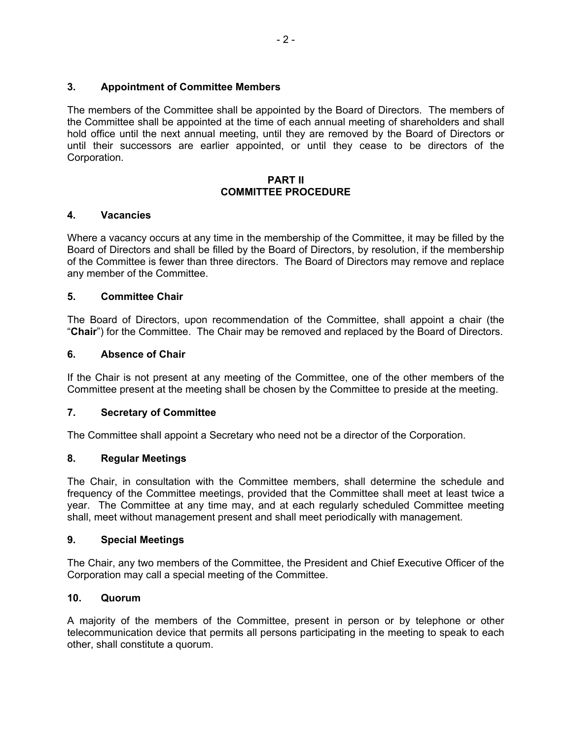## **3. Appointment of Committee Members**

The members of the Committee shall be appointed by the Board of Directors. The members of the Committee shall be appointed at the time of each annual meeting of shareholders and shall hold office until the next annual meeting, until they are removed by the Board of Directors or until their successors are earlier appointed, or until they cease to be directors of the Corporation.

#### **PART II COMMITTEE PROCEDURE**

## **4. Vacancies**

Where a vacancy occurs at any time in the membership of the Committee, it may be filled by the Board of Directors and shall be filled by the Board of Directors, by resolution, if the membership of the Committee is fewer than three directors. The Board of Directors may remove and replace any member of the Committee.

## **5. Committee Chair**

The Board of Directors, upon recommendation of the Committee, shall appoint a chair (the "**Chair**") for the Committee. The Chair may be removed and replaced by the Board of Directors.

## **6. Absence of Chair**

If the Chair is not present at any meeting of the Committee, one of the other members of the Committee present at the meeting shall be chosen by the Committee to preside at the meeting.

#### **7. Secretary of Committee**

The Committee shall appoint a Secretary who need not be a director of the Corporation.

#### **8. Regular Meetings**

The Chair, in consultation with the Committee members, shall determine the schedule and frequency of the Committee meetings, provided that the Committee shall meet at least twice a year. The Committee at any time may, and at each regularly scheduled Committee meeting shall, meet without management present and shall meet periodically with management.

#### **9. Special Meetings**

The Chair, any two members of the Committee, the President and Chief Executive Officer of the Corporation may call a special meeting of the Committee.

#### **10. Quorum**

A majority of the members of the Committee, present in person or by telephone or other telecommunication device that permits all persons participating in the meeting to speak to each other, shall constitute a quorum.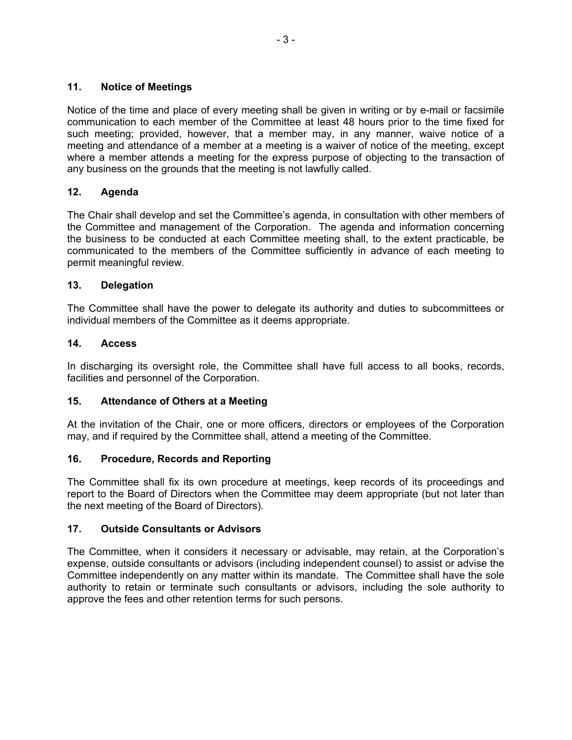## **11. Notice of Meetings**

Notice of the time and place of every meeting shall be given in writing or by e-mail or facsimile communication to each member of the Committee at least 48 hours prior to the time fixed for such meeting; provided, however, that a member may, in any manner, waive notice of a meeting and attendance of a member at a meeting is a waiver of notice of the meeting, except where a member attends a meeting for the express purpose of objecting to the transaction of any business on the grounds that the meeting is not lawfully called.

## **12. Agenda**

The Chair shall develop and set the Committee's agenda, in consultation with other members of the Committee and management of the Corporation. The agenda and information concerning the business to be conducted at each Committee meeting shall, to the extent practicable, be communicated to the members of the Committee sufficiently in advance of each meeting to permit meaningful review.

## **13. Delegation**

The Committee shall have the power to delegate its authority and duties to subcommittees or individual members of the Committee as it deems appropriate.

## **14. Access**

In discharging its oversight role, the Committee shall have full access to all books, records, facilities and personnel of the Corporation.

## **15. Attendance of Others at a Meeting**

At the invitation of the Chair, one or more officers, directors or employees of the Corporation may, and if required by the Committee shall, attend a meeting of the Committee.

## **16. Procedure, Records and Reporting**

The Committee shall fix its own procedure at meetings, keep records of its proceedings and report to the Board of Directors when the Committee may deem appropriate (but not later than the next meeting of the Board of Directors).

## **17. Outside Consultants or Advisors**

The Committee, when it considers it necessary or advisable, may retain, at the Corporation's expense, outside consultants or advisors (including independent counsel) to assist or advise the Committee independently on any matter within its mandate. The Committee shall have the sole authority to retain or terminate such consultants or advisors, including the sole authority to approve the fees and other retention terms for such persons.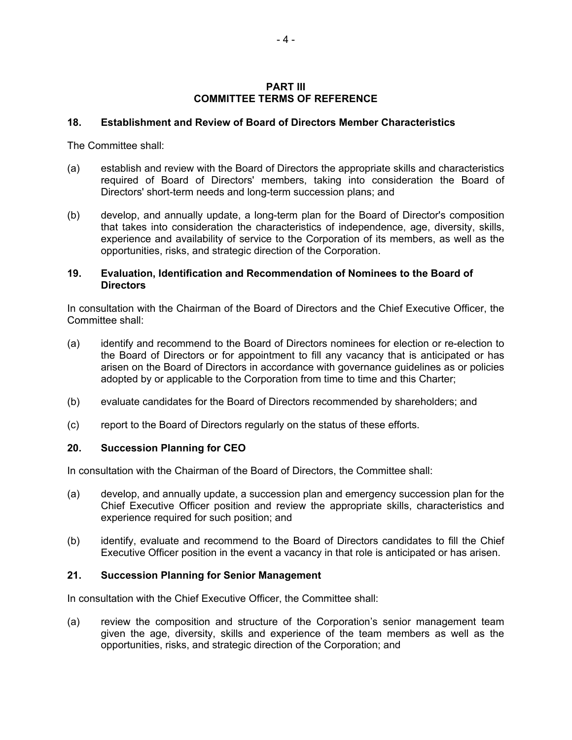#### **PART III COMMITTEE TERMS OF REFERENCE**

#### **18. Establishment and Review of Board of Directors Member Characteristics**

The Committee shall:

- (a) establish and review with the Board of Directors the appropriate skills and characteristics required of Board of Directors' members, taking into consideration the Board of Directors' short-term needs and long-term succession plans; and
- (b) develop, and annually update, a long-term plan for the Board of Director's composition that takes into consideration the characteristics of independence, age, diversity, skills, experience and availability of service to the Corporation of its members, as well as the opportunities, risks, and strategic direction of the Corporation.

#### **19. Evaluation, Identification and Recommendation of Nominees to the Board of Directors**

In consultation with the Chairman of the Board of Directors and the Chief Executive Officer, the Committee shall:

- (a) identify and recommend to the Board of Directors nominees for election or re-election to the Board of Directors or for appointment to fill any vacancy that is anticipated or has arisen on the Board of Directors in accordance with governance guidelines as or policies adopted by or applicable to the Corporation from time to time and this Charter;
- (b) evaluate candidates for the Board of Directors recommended by shareholders; and
- (c) report to the Board of Directors regularly on the status of these efforts.

## **20. Succession Planning for CEO**

In consultation with the Chairman of the Board of Directors, the Committee shall:

- (a) develop, and annually update, a succession plan and emergency succession plan for the Chief Executive Officer position and review the appropriate skills, characteristics and experience required for such position; and
- (b) identify, evaluate and recommend to the Board of Directors candidates to fill the Chief Executive Officer position in the event a vacancy in that role is anticipated or has arisen.

#### **21. Succession Planning for Senior Management**

In consultation with the Chief Executive Officer, the Committee shall:

(a) review the composition and structure of the Corporation's senior management team given the age, diversity, skills and experience of the team members as well as the opportunities, risks, and strategic direction of the Corporation; and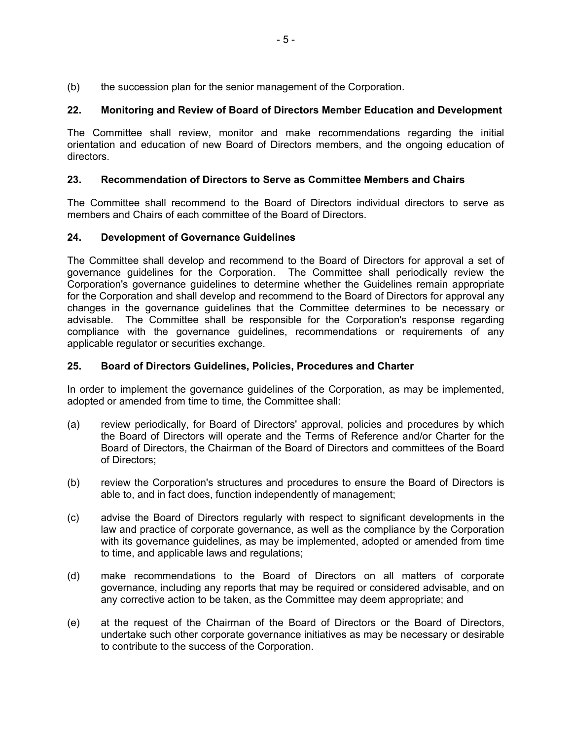(b) the succession plan for the senior management of the Corporation.

# **22. Monitoring and Review of Board of Directors Member Education and Development**

The Committee shall review, monitor and make recommendations regarding the initial orientation and education of new Board of Directors members, and the ongoing education of directors.

## **23. Recommendation of Directors to Serve as Committee Members and Chairs**

The Committee shall recommend to the Board of Directors individual directors to serve as members and Chairs of each committee of the Board of Directors.

## **24. Development of Governance Guidelines**

The Committee shall develop and recommend to the Board of Directors for approval a set of governance guidelines for the Corporation. The Committee shall periodically review the Corporation's governance guidelines to determine whether the Guidelines remain appropriate for the Corporation and shall develop and recommend to the Board of Directors for approval any changes in the governance guidelines that the Committee determines to be necessary or advisable. The Committee shall be responsible for the Corporation's response regarding compliance with the governance guidelines, recommendations or requirements of any applicable regulator or securities exchange.

## **25. Board of Directors Guidelines, Policies, Procedures and Charter**

In order to implement the governance guidelines of the Corporation, as may be implemented, adopted or amended from time to time, the Committee shall:

- (a) review periodically, for Board of Directors' approval, policies and procedures by which the Board of Directors will operate and the Terms of Reference and/or Charter for the Board of Directors, the Chairman of the Board of Directors and committees of the Board of Directors;
- (b) review the Corporation's structures and procedures to ensure the Board of Directors is able to, and in fact does, function independently of management;
- (c) advise the Board of Directors regularly with respect to significant developments in the law and practice of corporate governance, as well as the compliance by the Corporation with its governance guidelines, as may be implemented, adopted or amended from time to time, and applicable laws and regulations;
- (d) make recommendations to the Board of Directors on all matters of corporate governance, including any reports that may be required or considered advisable, and on any corrective action to be taken, as the Committee may deem appropriate; and
- (e) at the request of the Chairman of the Board of Directors or the Board of Directors, undertake such other corporate governance initiatives as may be necessary or desirable to contribute to the success of the Corporation.